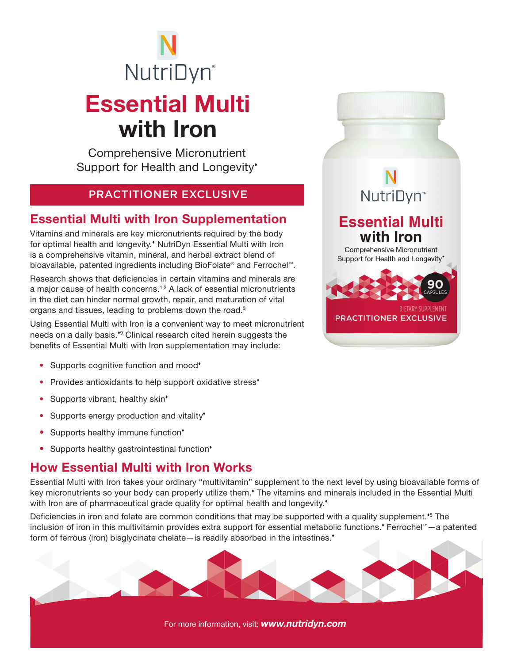# Essential Multi with Iron **NutriDyn**®

Comprehensive Micronutrient Support for Health and Longevity'

#### PRACTITIONER EXCLUSIVE

### Essential Multi with Iron Supplementation

Vitamins and minerals are key micronutrients required by the body for optimal health and longevity.<sup>\*</sup> NutriDyn Essential Multi with Iron is a comprehensive vitamin, mineral, and herbal extract blend of bioavailable, patented ingredients including BioFolate® and Ferrochel™.

Research shows that deficiencies in certain vitamins and minerals are a major cause of health concerns.1,2 A lack of essential micronutrients in the diet can hinder normal growth, repair, and maturation of vital organs and tissues, leading to problems down the road.3

Using Essential Multi with Iron is a convenient way to meet micronutrient needs on a daily basis.<sup>\*</sup> Clinical research cited herein suggests the benefits of Essential Multi with Iron supplementation may include:

- Supports cognitive function and mood<sup>\*</sup>
- Provides antioxidants to help support oxidative stress<sup>\*</sup>
- Supports vibrant, healthy skin<sup>\*</sup>
- Supports energy production and vitality<sup>\*</sup>
- Supports healthy immune function\*
- Supports healthy gastrointestinal function<sup>\*</sup>

### How Essential Multi with Iron Works

Essential Multi with Iron takes your ordinary "multivitamin" supplement to the next level by using bioavailable forms of key micronutrients so your body can properly utilize them.<sup>\*</sup> The vitamins and minerals included in the Essential Multi with Iron are of pharmaceutical grade quality for optimal health and longevity.<sup>\*</sup>

Deficiencies in iron and folate are common conditions that may be supported with a quality supplement.<sup>\*5</sup> The inclusion of iron in this multivitamin provides extra support for essential metabolic functions. Ferrochel™—a patented form of ferrous (iron) bisglycinate chelate—is readily absorbed in the intestines.